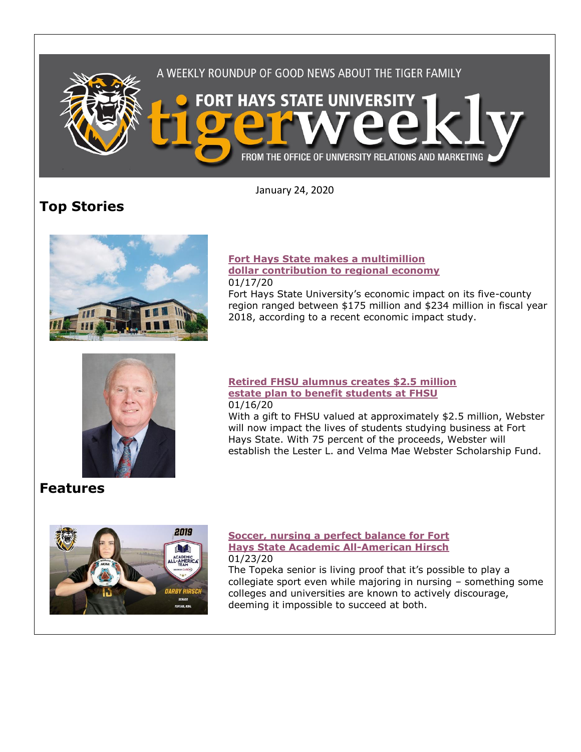

January 24, 2020

# **Top Stories**



### **[Fort Hays State makes a multimillion](https://www.fhsu.edu/news/2020/01/fort-hays-state-makes-a-multimillion-dollar-contribution-to-regional-economy)  [dollar contribution to regional economy](https://www.fhsu.edu/news/2020/01/fort-hays-state-makes-a-multimillion-dollar-contribution-to-regional-economy)** 01/17/20

Fort Hays State University's economic impact on its five-county region ranged between \$175 million and \$234 million in fiscal year 2018, according to a recent economic impact study.



### **[Retired FHSU alumnus creates \\$2.5 million](https://www.fhsu.edu/news/2020/01/retired-fhsu-alumnus-creates-2.5-million-estate-plan-to-benefit-students-at-fort-hays-state)  [estate plan to benefit students at FHSU](https://www.fhsu.edu/news/2020/01/retired-fhsu-alumnus-creates-2.5-million-estate-plan-to-benefit-students-at-fort-hays-state)** 01/16/20

With a gift to FHSU valued at approximately \$2.5 million, Webster will now impact the lives of students studying business at Fort Hays State. With 75 percent of the proceeds, Webster will establish the Lester L. and Velma Mae Webster Scholarship Fund.

## **Features**



### **[Soccer, nursing a perfect balance for Fort](https://www.fhsu.edu/news/2020/01/soccer,-nursing-a-perfect-balance-for-fort-hays-state-academic-all-american-hirsch) [Hays State Academic All-American Hirsch](https://www.fhsu.edu/news/2020/01/soccer,-nursing-a-perfect-balance-for-fort-hays-state-academic-all-american-hirsch)** 01/23/20

The Topeka senior is living proof that it's possible to play a collegiate sport even while majoring in nursing – something some colleges and universities are known to actively discourage, deeming it impossible to succeed at both.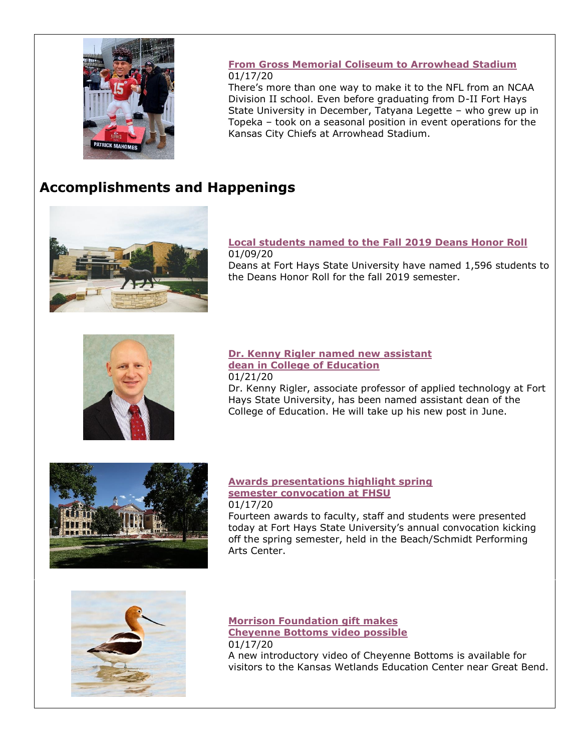

### **[From Gross Memorial Coliseum to Arrowhead Stadium](https://www.fhsu.edu/news/2020/01/from-gross-memorial-coliseum-to-arrowhead-stadium)** 01/17/20

There's more than one way to make it to the NFL from an NCAA Division II school. Even before graduating from D-II Fort Hays State University in December, Tatyana Legette – who grew up in Topeka – took on a seasonal position in event operations for the Kansas City Chiefs at Arrowhead Stadium.

# **Accomplishments and Happenings**



**[Local students named to the Fall 2019 Deans Honor Roll](https://www.fhsu.edu/news/2020/01/local-students-named-to-the-fall-2019-deans-honor-roll-at-fort-hays-state-university)** 01/09/20 Deans at Fort Hays State University have named 1,596 students to the Deans Honor Roll for the fall 2019 semester.



**[Dr. Kenny Rigler named new assistant](https://www.fhsu.edu/news/2020/01/dr.-kenny-rigler-named-new-assistant-dean-in-college-of-education)  [dean in College of Education](https://www.fhsu.edu/news/2020/01/dr.-kenny-rigler-named-new-assistant-dean-in-college-of-education)** 01/21/20 Dr. Kenny Rigler, associate professor of applied technology at Fort Hays State University, has been named assistant dean of the College of Education. He will take up his new post in June.



### **[Awards presentations highlight spring](https://www.fhsu.edu/news/2020/01/awards-presentations-highlight-spring-semester-convocation-at-fort-hays-state)  [semester convocation at FHSU](https://www.fhsu.edu/news/2020/01/awards-presentations-highlight-spring-semester-convocation-at-fort-hays-state)** 01/17/20

Fourteen awards to faculty, staff and students were presented today at Fort Hays State University's annual convocation kicking off the spring semester, held in the Beach/Schmidt Performing Arts Center.



**[Morrison Foundation gift makes](https://www.fhsu.edu/news/2020/01/morrison-foundation-gift-makes-cheyenne-bottoms-video-possible)  [Cheyenne Bottoms video possible](https://www.fhsu.edu/news/2020/01/morrison-foundation-gift-makes-cheyenne-bottoms-video-possible)** 01/17/20

A new introductory video of Cheyenne Bottoms is available for visitors to the Kansas Wetlands Education Center near Great Bend.